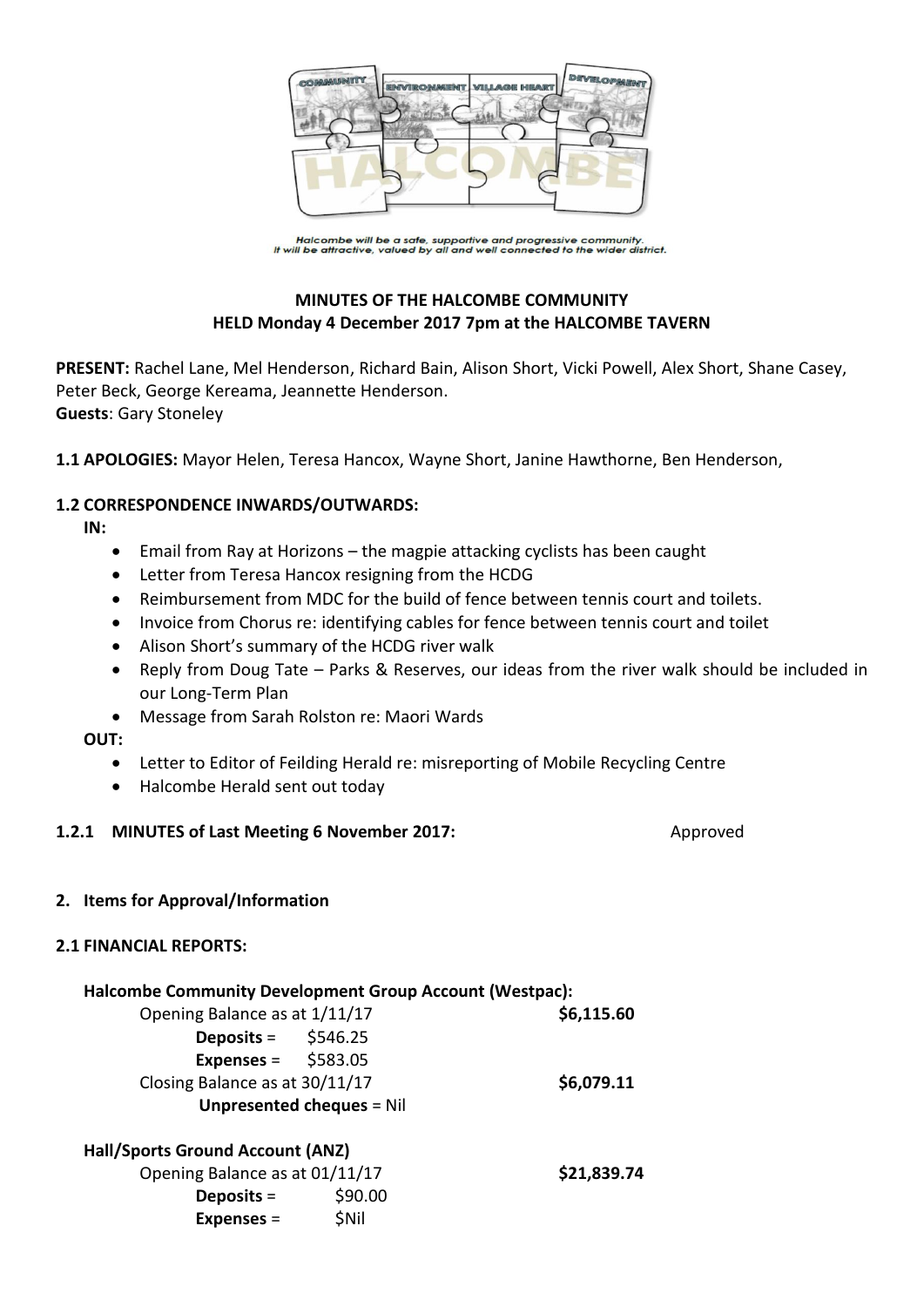

Halcombe will be a safe, supportive and progressive community.<br>It will be attractive, valued by all and well connected to the wider district.

# **MINUTES OF THE HALCOMBE COMMUNITY HELD Monday 4 December 2017 7pm at the HALCOMBE TAVERN**

**PRESENT:** Rachel Lane, Mel Henderson, Richard Bain, Alison Short, Vicki Powell, Alex Short, Shane Casey, Peter Beck, George Kereama, Jeannette Henderson. **Guests**: Gary Stoneley

**1.1 APOLOGIES:** Mayor Helen, Teresa Hancox, Wayne Short, Janine Hawthorne, Ben Henderson,

### **1.2 CORRESPONDENCE INWARDS/OUTWARDS:**

**IN:** 

- Email from Ray at Horizons the magpie attacking cyclists has been caught
- Letter from Teresa Hancox resigning from the HCDG
- Reimbursement from MDC for the build of fence between tennis court and toilets.
- Invoice from Chorus re: identifying cables for fence between tennis court and toilet
- Alison Short's summary of the HCDG river walk
- Reply from Doug Tate Parks & Reserves, our ideas from the river walk should be included in our Long-Term Plan
- Message from Sarah Rolston re: Maori Wards

**OUT:** 

- Letter to Editor of Feilding Herald re: misreporting of Mobile Recycling Centre
- Halcombe Herald sent out today

#### **1.2.1 MINUTES of Last Meeting 6 November 2017:** Approved

#### **2. Items for Approval/Information**

#### **2.1 FINANCIAL REPORTS:**

| <b>Halcombe Community Development Group Account (Westpac):</b> |             |
|----------------------------------------------------------------|-------------|
| Opening Balance as at 1/11/17                                  | \$6,115.60  |
| Deposits = $$546.25$                                           |             |
| Expenses = $$583.05$                                           |             |
| Closing Balance as at 30/11/17                                 | \$6,079.11  |
| <b>Unpresented cheques = Nil</b>                               |             |
| Hall/Sports Ground Account (ANZ)                               |             |
| Opening Balance as at 01/11/17                                 | \$21,839.74 |
| Deposits $=$                                                   | \$90.00     |
| Expenses $=$                                                   | <b>SNil</b> |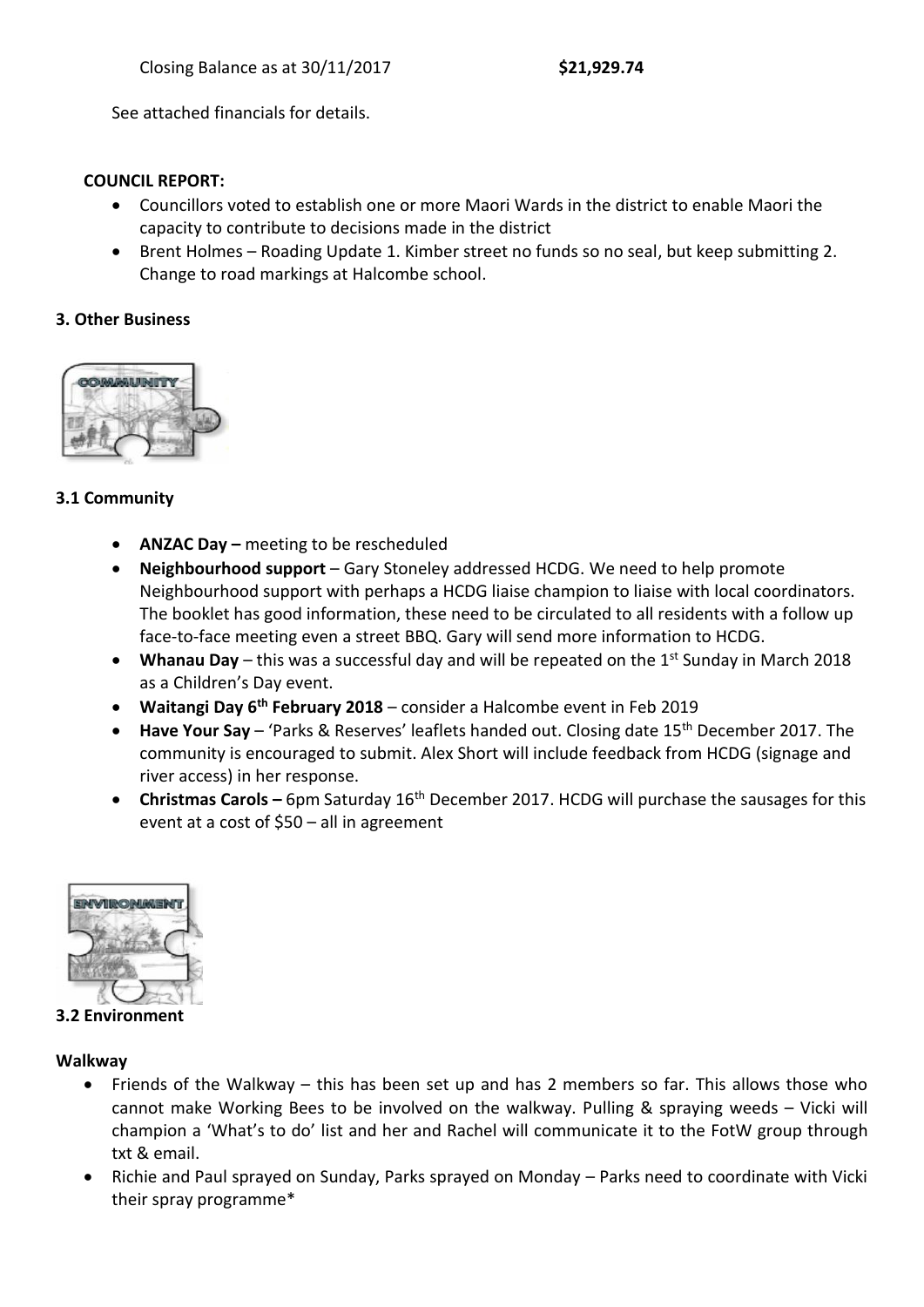See attached financials for details.

### **COUNCIL REPORT:**

- Councillors voted to establish one or more Maori Wards in the district to enable Maori the capacity to contribute to decisions made in the district
- Brent Holmes Roading Update 1. Kimber street no funds so no seal, but keep submitting 2. Change to road markings at Halcombe school.

### **3. Other Business**



# **3.1 Community**

- **ANZAC Day –** meeting to be rescheduled
- **Neighbourhood support** Gary Stoneley addressed HCDG. We need to help promote Neighbourhood support with perhaps a HCDG liaise champion to liaise with local coordinators. The booklet has good information, these need to be circulated to all residents with a follow up face-to-face meeting even a street BBQ. Gary will send more information to HCDG.
- Whanau Day this was a successful day and will be repeated on the 1<sup>st</sup> Sunday in March 2018 as a Children's Day event.
- **Waitangi Day 6 th February 2018** consider a Halcombe event in Feb 2019
- **Have Your Say**  'Parks & Reserves' leaflets handed out. Closing date 15th December 2017. The community is encouraged to submit. Alex Short will include feedback from HCDG (signage and river access) in her response.
- **Christmas Carols –** 6pm Saturday 16<sup>th</sup> December 2017. HCDG will purchase the sausages for this event at a cost of \$50 – all in agreement



**3.2 Environment**

#### **Walkway**

- Friends of the Walkway this has been set up and has 2 members so far. This allows those who cannot make Working Bees to be involved on the walkway. Pulling & spraying weeds – Vicki will champion a 'What's to do' list and her and Rachel will communicate it to the FotW group through txt & email.
- Richie and Paul sprayed on Sunday, Parks sprayed on Monday Parks need to coordinate with Vicki their spray programme\*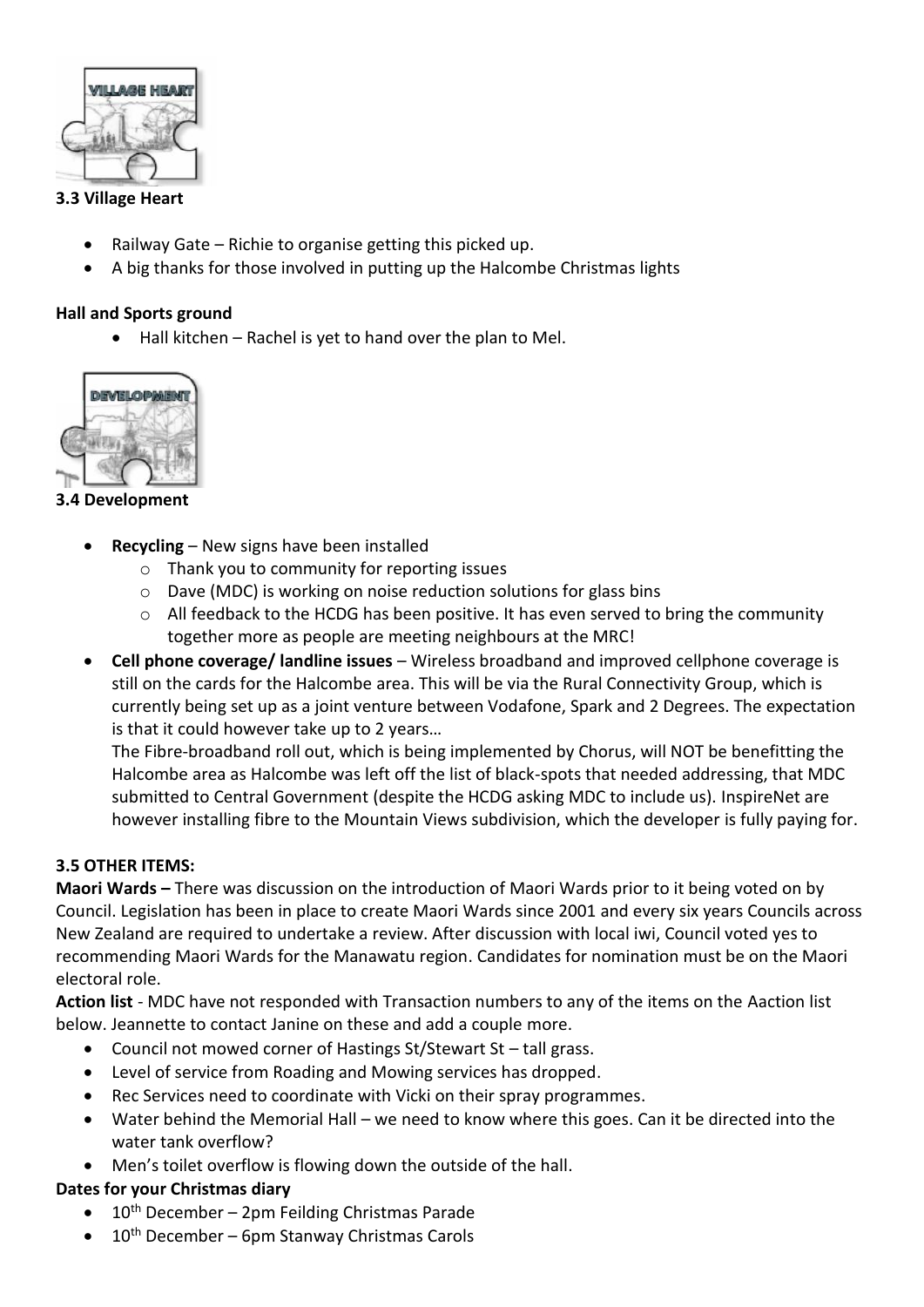

### **3.3 Village Heart**

- Railway Gate Richie to organise getting this picked up.
- A big thanks for those involved in putting up the Halcombe Christmas lights

# **Hall and Sports ground**

 $\bullet$  Hall kitchen – Rachel is yet to hand over the plan to Mel.



# **3.4 Development**

- **Recycling** New signs have been installed
	- o Thank you to community for reporting issues
	- o Dave (MDC) is working on noise reduction solutions for glass bins
	- $\circ$  All feedback to the HCDG has been positive. It has even served to bring the community together more as people are meeting neighbours at the MRC!
- **Cell phone coverage/ landline issues** Wireless broadband and improved cellphone coverage is still on the cards for the Halcombe area. This will be via the Rural Connectivity Group, which is currently being set up as a joint venture between Vodafone, Spark and 2 Degrees. The expectation is that it could however take up to 2 years…

The Fibre-broadband roll out, which is being implemented by Chorus, will NOT be benefitting the Halcombe area as Halcombe was left off the list of black-spots that needed addressing, that MDC submitted to Central Government (despite the HCDG asking MDC to include us). InspireNet are however installing fibre to the Mountain Views subdivision, which the developer is fully paying for.

# **3.5 OTHER ITEMS:**

**Maori Wards –** There was discussion on the introduction of Maori Wards prior to it being voted on by Council. Legislation has been in place to create Maori Wards since 2001 and every six years Councils across New Zealand are required to undertake a review. After discussion with local iwi, Council voted yes to recommending Maori Wards for the Manawatu region. Candidates for nomination must be on the Maori electoral role.

**Action list** - MDC have not responded with Transaction numbers to any of the items on the Aaction list below. Jeannette to contact Janine on these and add a couple more.

- Council not mowed corner of Hastings St/Stewart St tall grass.
- Level of service from Roading and Mowing services has dropped.
- Rec Services need to coordinate with Vicki on their spray programmes.
- Water behind the Memorial Hall we need to know where this goes. Can it be directed into the water tank overflow?
- Men's toilet overflow is flowing down the outside of the hall.

# **Dates for your Christmas diary**

- $\bullet$  10<sup>th</sup> December 2pm Feilding Christmas Parade
- 10<sup>th</sup> December 6pm Stanway Christmas Carols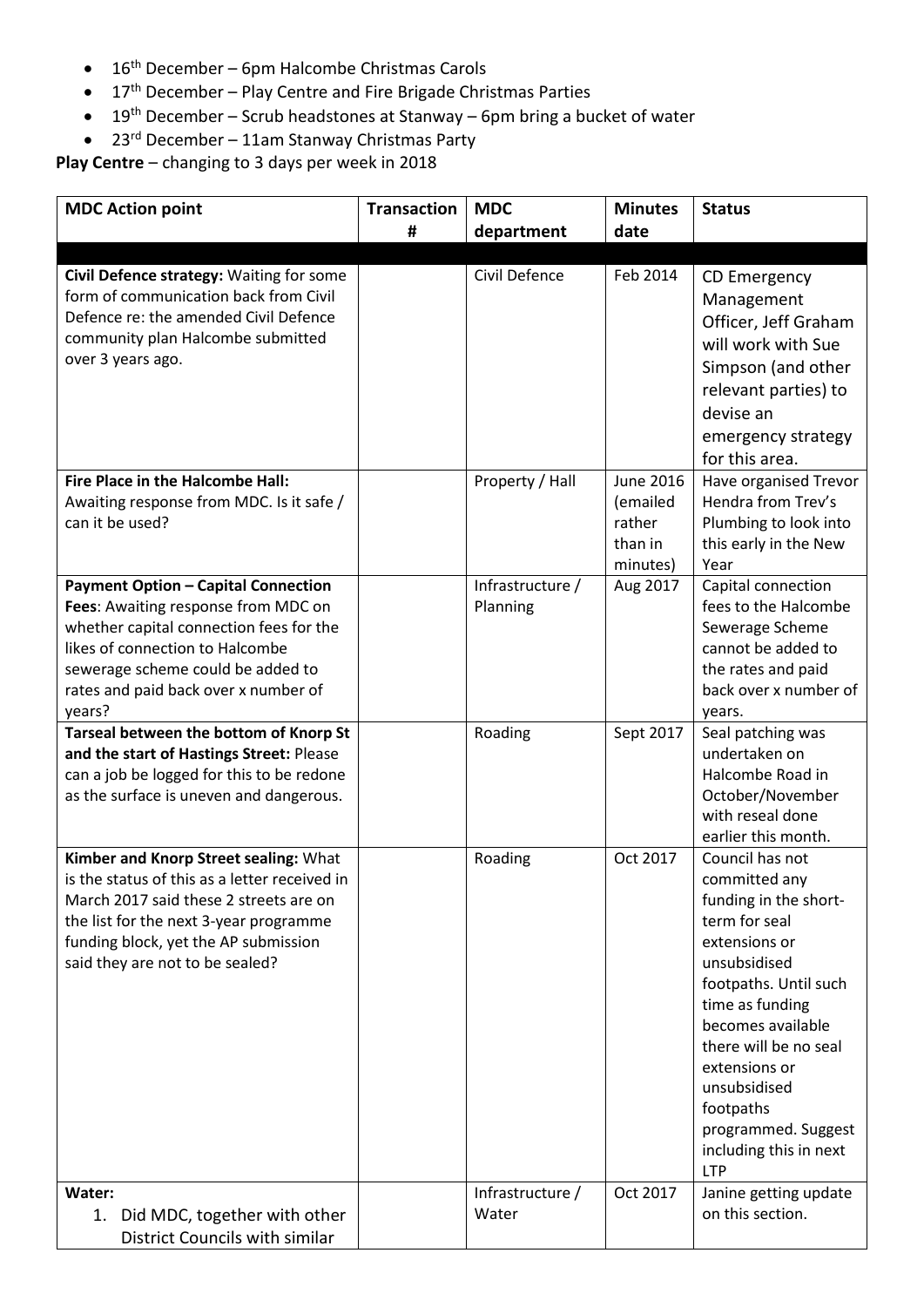- $\bullet$  16<sup>th</sup> December 6pm Halcombe Christmas Carols
- $\bullet$  17<sup>th</sup> December Play Centre and Fire Brigade Christmas Parties
- $\bullet$  19<sup>th</sup> December Scrub headstones at Stanway 6pm bring a bucket of water
- 23<sup>rd</sup> December 11am Stanway Christmas Party

**Play Centre** – changing to 3 days per week in 2018

| <b>MDC Action point</b>                                                                                                                                                                                                                                | <b>Transaction</b> | <b>MDC</b>                   | <b>Minutes</b>                            | <b>Status</b>                                                                                                                                                                                                                                                                                                      |
|--------------------------------------------------------------------------------------------------------------------------------------------------------------------------------------------------------------------------------------------------------|--------------------|------------------------------|-------------------------------------------|--------------------------------------------------------------------------------------------------------------------------------------------------------------------------------------------------------------------------------------------------------------------------------------------------------------------|
|                                                                                                                                                                                                                                                        | #                  | department                   | date                                      |                                                                                                                                                                                                                                                                                                                    |
|                                                                                                                                                                                                                                                        |                    |                              |                                           |                                                                                                                                                                                                                                                                                                                    |
| Civil Defence strategy: Waiting for some<br>form of communication back from Civil<br>Defence re: the amended Civil Defence<br>community plan Halcombe submitted<br>over 3 years ago.                                                                   |                    | Civil Defence                | Feb 2014                                  | CD Emergency<br>Management<br>Officer, Jeff Graham<br>will work with Sue<br>Simpson (and other<br>relevant parties) to<br>devise an<br>emergency strategy<br>for this area.                                                                                                                                        |
| Fire Place in the Halcombe Hall:                                                                                                                                                                                                                       |                    | Property / Hall              | <b>June 2016</b>                          | Have organised Trevor                                                                                                                                                                                                                                                                                              |
| Awaiting response from MDC. Is it safe /<br>can it be used?                                                                                                                                                                                            |                    |                              | (emailed<br>rather<br>than in<br>minutes) | Hendra from Trev's<br>Plumbing to look into<br>this early in the New<br>Year                                                                                                                                                                                                                                       |
| <b>Payment Option - Capital Connection</b><br>Fees: Awaiting response from MDC on<br>whether capital connection fees for the<br>likes of connection to Halcombe<br>sewerage scheme could be added to<br>rates and paid back over x number of<br>years? |                    | Infrastructure /<br>Planning | Aug 2017                                  | Capital connection<br>fees to the Halcombe<br>Sewerage Scheme<br>cannot be added to<br>the rates and paid<br>back over x number of<br>years.                                                                                                                                                                       |
| Tarseal between the bottom of Knorp St<br>and the start of Hastings Street: Please<br>can a job be logged for this to be redone<br>as the surface is uneven and dangerous.                                                                             |                    | Roading                      | Sept 2017                                 | Seal patching was<br>undertaken on<br>Halcombe Road in<br>October/November<br>with reseal done<br>earlier this month.                                                                                                                                                                                              |
| Kimber and Knorp Street sealing: What<br>is the status of this as a letter received in<br>March 2017 said these 2 streets are on<br>the list for the next 3-year programme<br>funding block, yet the AP submission<br>said they are not to be sealed?  |                    | Roading                      | Oct 2017                                  | Council has not<br>committed any<br>funding in the short-<br>term for seal<br>extensions or<br>unsubsidised<br>footpaths. Until such<br>time as funding<br>becomes available<br>there will be no seal<br>extensions or<br>unsubsidised<br>footpaths<br>programmed. Suggest<br>including this in next<br><b>LTP</b> |
| Water:<br>1. Did MDC, together with other<br>District Councils with similar                                                                                                                                                                            |                    | Infrastructure /<br>Water    | Oct 2017                                  | Janine getting update<br>on this section.                                                                                                                                                                                                                                                                          |